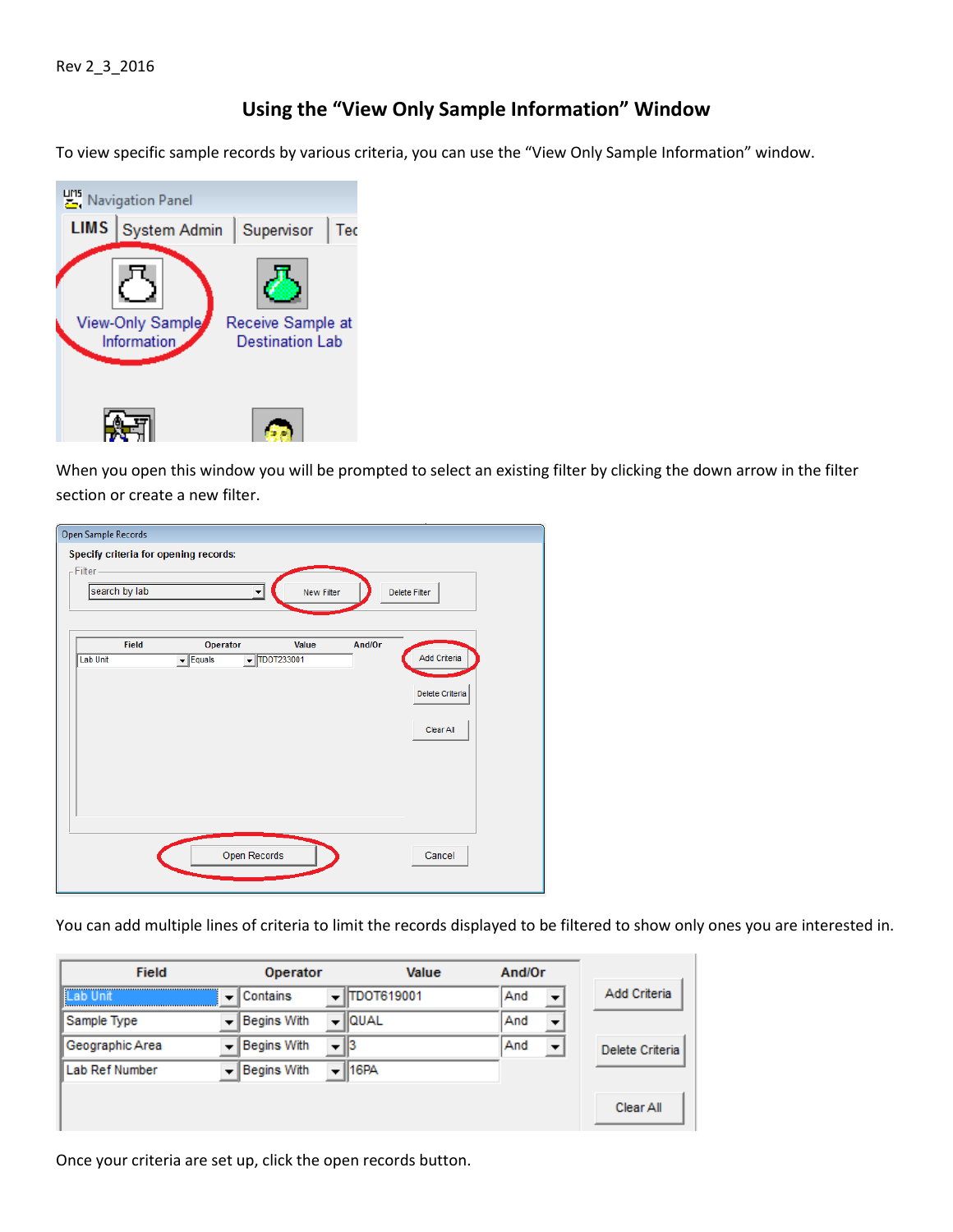## **Using the "View Only Sample Information" Window**

To view specific sample records by various criteria, you can use the "View Only Sample Information" window.



When you open this window you will be prompted to select an existing filter by clicking the down arrow in the filter section or create a new filter.

| -Filter-<br>search by lab | Specify criteria for opening records:<br>$\blacktriangledown$ | New Filter                                  |        | Delete Filter                                |
|---------------------------|---------------------------------------------------------------|---------------------------------------------|--------|----------------------------------------------|
| Field<br>Lab Unit         | Operator<br>$\blacktriangleright$ Equals                      | Value<br>$\overline{\mathbf{v}}$ TDOT233001 | And/Or | Add Criteria<br>Delete Criteria<br>Clear All |
|                           | Open Records                                                  |                                             |        | Cancel                                       |

You can add multiple lines of criteria to limit the records displayed to be filtered to show only ones you are interested in.

| <b>Field</b>    |                | Operator    |                          | Value              | And/Or |                          |                 |
|-----------------|----------------|-------------|--------------------------|--------------------|--------|--------------------------|-----------------|
| l≣Lab Unit      | $\mathbf{v}$ . | Contains    |                          | <b>ITDOT619001</b> | And    | $\overline{\phantom{a}}$ | Add Criteria    |
| Sample Type     |                | Begins With | $\overline{\phantom{0}}$ | <b>Ilqual</b>      | And    | $\overline{\phantom{a}}$ |                 |
| Geographic Area |                | Begins With | $\overline{\phantom{0}}$ |                    | And    | $\overline{\phantom{a}}$ | Delete Criteria |
| Lab Ref Number  |                | Begins With | ▼                        | 16PA               |        |                          |                 |
|                 |                |             |                          |                    |        |                          | Clear All       |

Once your criteria are set up, click the open records button.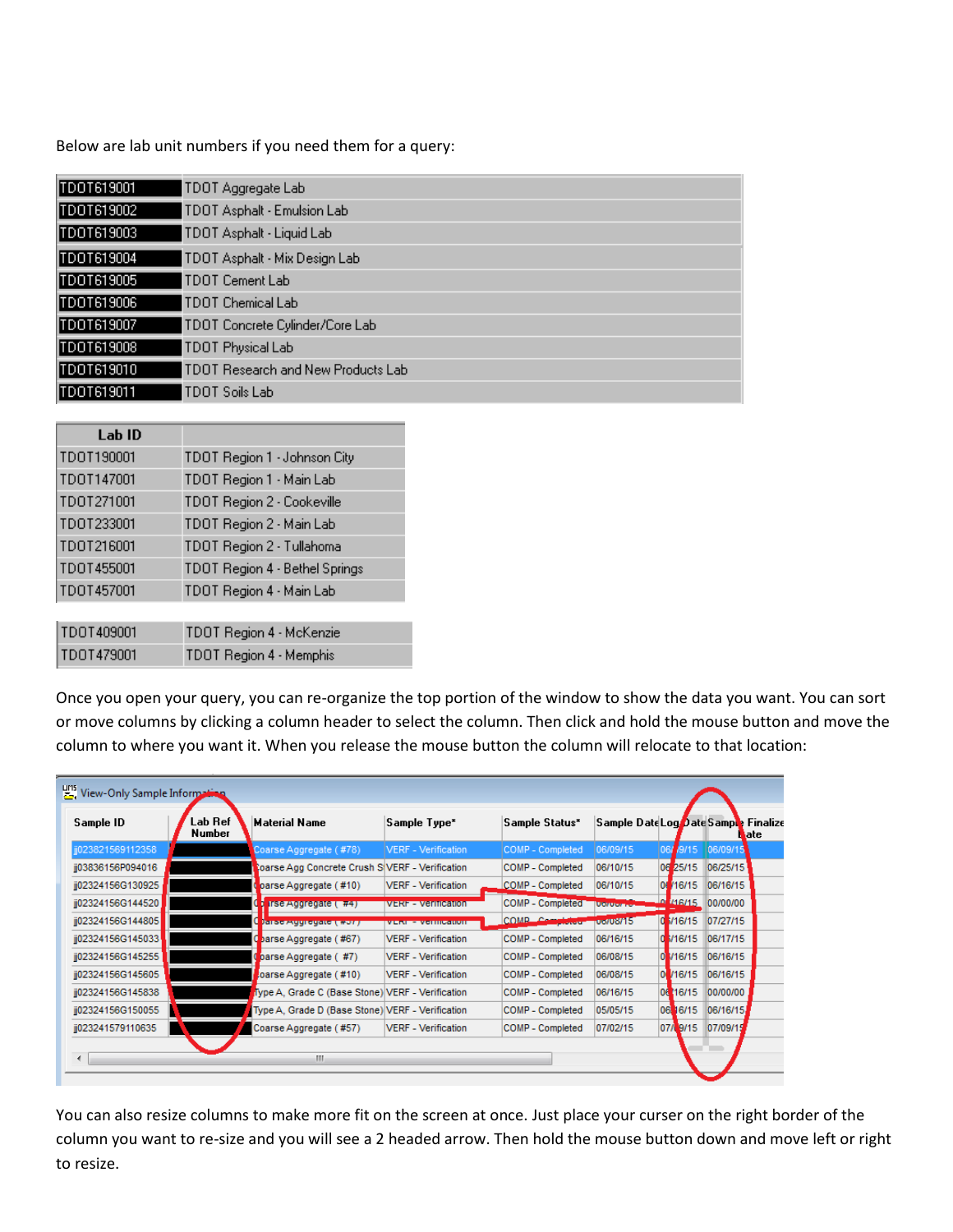Below are lab unit numbers if you need them for a query:

| TDOT619001 | TDOT Aggregate Lab                 |
|------------|------------------------------------|
| TD0T619002 | TDOT Asphalt - Emulsion Lab        |
| TDOT619003 | TDOT Asphalt - Liquid Lab          |
| TD0T619004 | TDOT Asphalt - Mix Design Lab      |
| TDOT619005 | TDOT Cement Lab                    |
| TDOT619006 | TDOT Chemical Lab                  |
| TDOT619007 | TDOT Concrete Cylinder/Core Lab    |
| TD0T619008 | TDOT Physical Lab                  |
| TDOT619010 | TDOT Research and New Products Lab |
| TD0T619011 | TDOT Soils Lab                     |

| Lab ID     |                                |
|------------|--------------------------------|
| TDOT190001 | TDOT Region 1 - Johnson City   |
| TDOT147001 | TDOT Region 1 - Main Lab       |
| TDOT271001 | TDOT Region 2 - Cookeville     |
| TDOT233001 | TDOT Region 2 - Main Lab       |
| TDOT216001 | TDOT Region 2 - Tullahoma      |
| TD0T455001 | TDOT Region 4 - Bethel Springs |
| TD0T457001 | TDOT Region 4 - Main Lab       |
|            |                                |
| TDOT409001 | TDOT Region 4 - McKenzie       |
| TD0T479001 | TDOT Region 4 - Memphis        |

Once you open your query, you can re-organize the top portion of the window to show the data you want. You can sort or move columns by clicking a column header to select the column. Then click and hold the mouse button and move the column to where you want it. When you release the mouse button the column will relocate to that location:

| <b>PMS</b> View-Only Sample Information |                   |                                                  |                            |                            |                 |                 |                                                    |
|-----------------------------------------|-------------------|--------------------------------------------------|----------------------------|----------------------------|-----------------|-----------------|----------------------------------------------------|
| Sample ID                               | Lab Ref<br>Number | <b>Material Name</b>                             | Sample Type*               | Sample Status <sup>*</sup> |                 |                 | Sample DateLog DateSample Finalize<br><b>M</b> ate |
| jj023821569112358                       |                   | Coarse Aggregate (#78)                           | <b>VERF - Verification</b> | <b>COMP - Completed</b>    | 06/09/15        | 9/15<br>06/     | 06/09/15                                           |
| ij03836156P094016                       |                   | Coarse Agg Concrete Crush S VERF - Verification  |                            | COMP - Completed           | 06/10/15        | 06 25/15        | 06/25/15                                           |
| ij02324156G130925                       |                   | parse Aggregate (#10)                            | <b>VERF</b> - Verification | COMP - Completed           | 06/10/15        | 06/16/15        | 06/16/15                                           |
| jj02324156G144520                       |                   | <b>Irse Augregate (#4)</b>                       | <b>VERF - Vermeation</b>   | COMP - Completed           | <b>LUGACION</b> | <u>n 146/15</u> | 00/00/00                                           |
| ij02324156G144805                       |                   | ( ) arso Aggrogato ( #07 ) -                     | VEN - Vermognum            | COMP Completed po/08/15    |                 | 0.3/16/15       | 07/27/15                                           |
| jj02324156G145033                       |                   | Charse Aggregate (#67)                           | <b>VERF</b> - Verification | COMP - Completed           | 06/16/15        | 0.3/16/15       | 06/17/15                                           |
| jj02324156G145255                       |                   | parse Aggregate (#7)                             | <b>VERF</b> - Verification | COMP - Completed           | 06/08/15        | $01$ /16/15     | 06/16/15                                           |
| ij02324156G145605                       |                   | Joarse Aggregate (#10)                           | <b>VERF</b> - Verification | COMP - Completed           | 06/08/15        | $0$ /16/15      | 06/16/15                                           |
| ii02324156G145838                       |                   | Type A, Grade C (Base Stone) VERF - Verification |                            | COMP - Completed           | 06/16/15        | 06 16/15        | 00/00/00                                           |
| ij02324156G150055                       |                   | Type A, Grade D (Base Stone) VERF - Verification |                            | COMP - Completed           | 05/05/15        | 06 16/15        | 06/16/15                                           |
| jj023241579110635                       |                   | Coarse Aggregate (#57)                           | VERF - Verification        | <b>COMP - Completed</b>    | 07/02/15        | 07/ 9/15        | 07/09/15                                           |
|                                         |                   |                                                  |                            |                            |                 |                 |                                                    |
| ∢                                       |                   | m.                                               |                            |                            |                 |                 |                                                    |

You can also resize columns to make more fit on the screen at once. Just place your curser on the right border of the column you want to re-size and you will see a 2 headed arrow. Then hold the mouse button down and move left or right to resize.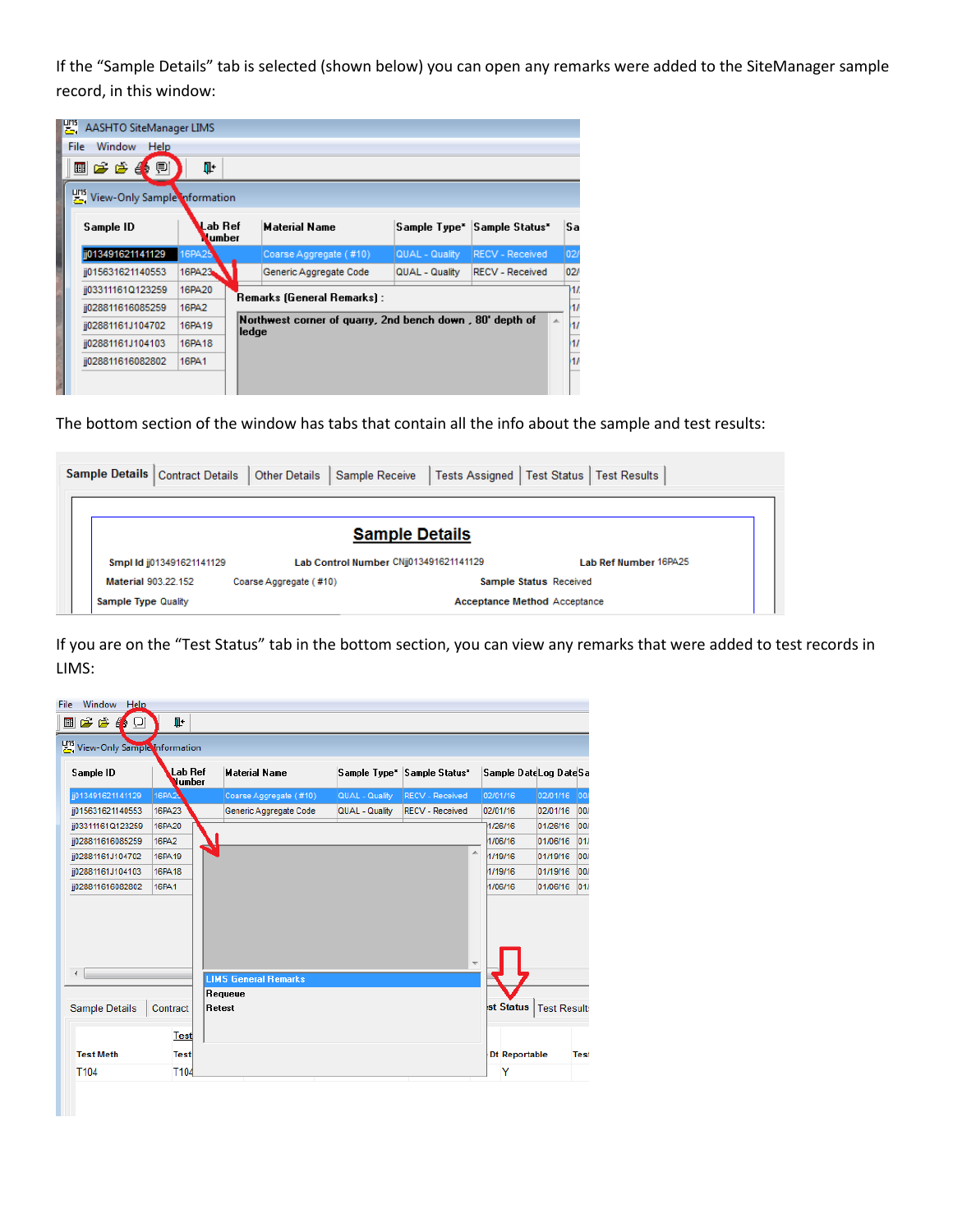If the "Sample Details" tab is selected (shown below) you can open any remarks were added to the SiteManager sample record, in this window:

|      | <b>LET</b> , AASHTO SiteManager LIMS |                   |       |                                                          |                          |                            |              |
|------|--------------------------------------|-------------------|-------|----------------------------------------------------------|--------------------------|----------------------------|--------------|
| File | Window<br>Help                       |                   |       |                                                          |                          |                            |              |
|      | 国产产事业                                | ŀ                 |       |                                                          |                          |                            |              |
|      | View-Only Sample Information         |                   |       |                                                          |                          |                            |              |
|      | Sample ID                            | Lab Ref<br>Lumber |       | <b>Material Name</b>                                     | Sample Type <sup>*</sup> | Sample Status <sup>*</sup> | Sa           |
|      | ij013491621141129                    | 16PA25            |       | Coarse Aggregate (#10)                                   | QUAL - Quality           | <b>RECV - Received</b>     | $ 02\rangle$ |
|      | ij015631621140553                    | 16PA23            |       | Generic Aggregate Code                                   | QUAL - Quality           | <b>RECV - Received</b>     | 02/          |
|      | jj03311161Q123259                    | <b>16PA20</b>     |       | Remarks (General Remarks) :                              |                          |                            | 11           |
|      | ij028811616085259                    | <b>16PA2</b>      |       |                                                          |                          |                            | 11           |
|      | ij02881161J104702                    | 16PA19            | ledge | Northwest corner of quarry, 2nd bench down, 80' depth of |                          | 杰                          | 11           |
|      | ij02881161J104103                    | 16PA18            |       |                                                          |                          |                            | 17           |
|      | ij028811616082802                    | <b>16PA1</b>      |       |                                                          |                          |                            | 11           |
|      |                                      |                   |       |                                                          |                          |                            |              |

The bottom section of the window has tabs that contain all the info about the sample and test results:

|  | Sample Details   Contract Details | <b>Other Details</b>                | Sample Receive                         | Tests Assigned   Test Status   Test Results |  |  |  |
|--|-----------------------------------|-------------------------------------|----------------------------------------|---------------------------------------------|--|--|--|
|  |                                   |                                     |                                        |                                             |  |  |  |
|  |                                   |                                     | <b>Sample Details</b>                  |                                             |  |  |  |
|  | Smpl Id jj013491621141129         |                                     | Lab Control Number CNij013491621141129 | <b>Lab Ref Number 16PA25</b>                |  |  |  |
|  | Material 903.22.152               | Coarse Aggregate (#10)              | Sample Status Received                 |                                             |  |  |  |
|  | Sample Type Quality               | <b>Acceptance Method Acceptance</b> |                                        |                                             |  |  |  |

If you are on the "Test Status" tab in the bottom section, you can view any remarks that were added to test records in LIMS:

| Sample ID         | Lab Ref<br>Number | <b>Material Name</b>        |                | Sample Type* Sample Status* | Sample Date Log Date Sa |          |              |
|-------------------|-------------------|-----------------------------|----------------|-----------------------------|-------------------------|----------|--------------|
| jj013491621141129 | 16PA2             | Coarse Aggregate (#10)      | QUAL - Quality | <b>RECV - Received</b>      | 02/01/16                | 02/01/16 | $ 00\rangle$ |
| ii015631621140553 | 16PA23            | Generic Aggregate Code      | QUAL - Quality | <b>RECV - Received</b>      | 02/01/16                | 02/01/16 | $ 00\rangle$ |
| jj03311161Q123259 | <b>16PA20</b>     |                             |                |                             | 1/26/16                 | 01/26/16 | 00/          |
| jj028811616085259 | <b>16PA2</b>      |                             |                |                             | 1/06/16                 | 01/06/16 | 01/          |
| jj02881161J104702 | 16PA19            |                             |                | ×.                          | 1/19/16                 | 01/19/16 | 00/          |
| jj02881161J104103 | 16PA18            |                             |                |                             | 1/19/16                 | 01/19/16 | 00/          |
| jj028811616082802 | <b>16PA1</b>      |                             |                |                             | 1/06/16                 | 01/06/16 | 01           |
| ∢                 |                   | <b>LIMS General Remarks</b> |                |                             |                         |          |              |
|                   | Contract          | Requeue<br>Retest           |                |                             | st Status   Test Result |          |              |
| Sample Details    |                   |                             |                |                             |                         |          |              |
|                   | <b>Test</b>       |                             |                |                             |                         |          |              |
| <b>Test Meth</b>  | <b>Test</b>       |                             |                |                             | Dt Reportable           |          | <b>Test</b>  |